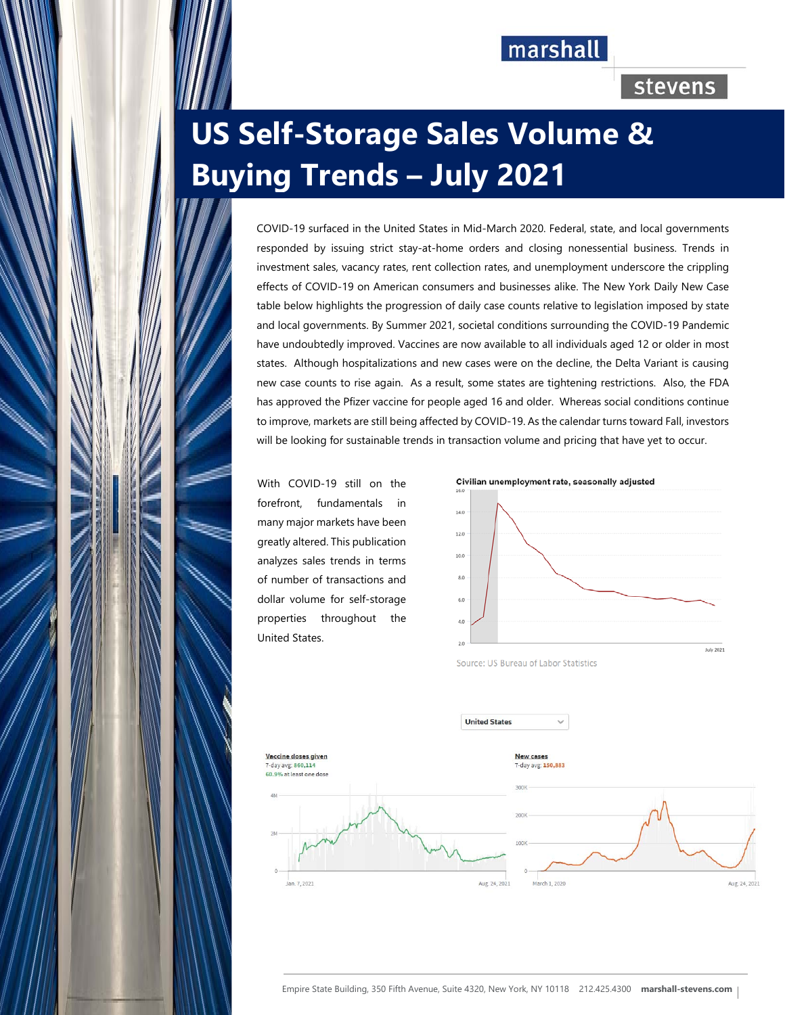## marshall

## stevens

# **US Self-Storage Sales Volume & Buying Trends – July 2021**

COVID-19 surfaced in the United States in Mid-March 2020. Federal, state, and local governments responded by issuing strict stay-at-home orders and closing nonessential business. Trends in investment sales, vacancy rates, rent collection rates, and unemployment underscore the crippling effects of COVID-19 on American consumers and businesses alike. The New York Daily New Case table below highlights the progression of daily case counts relative to legislation imposed by state and local governments. By Summer 2021, societal conditions surrounding the COVID-19 Pandemic have undoubtedly improved. Vaccines are now available to all individuals aged 12 or older in most states. Although hospitalizations and new cases were on the decline, the Delta Variant is causing new case counts to rise again. As a result, some states are tightening restrictions. Also, the FDA has approved the Pfizer vaccine for people aged 16 and older. Whereas social conditions continue to improve, markets are still being affected by COVID-19. As the calendar turns toward Fall, investors will be looking for sustainable trends in transaction volume and pricing that have yet to occur.

With COVID-19 still on the forefront, fundamentals in many major markets have been greatly altered. This publication analyzes sales trends in terms of number of transactions and dollar volume for self-storage properties throughout the United States.



Source: US Bureau of Labor Statistics



**United States**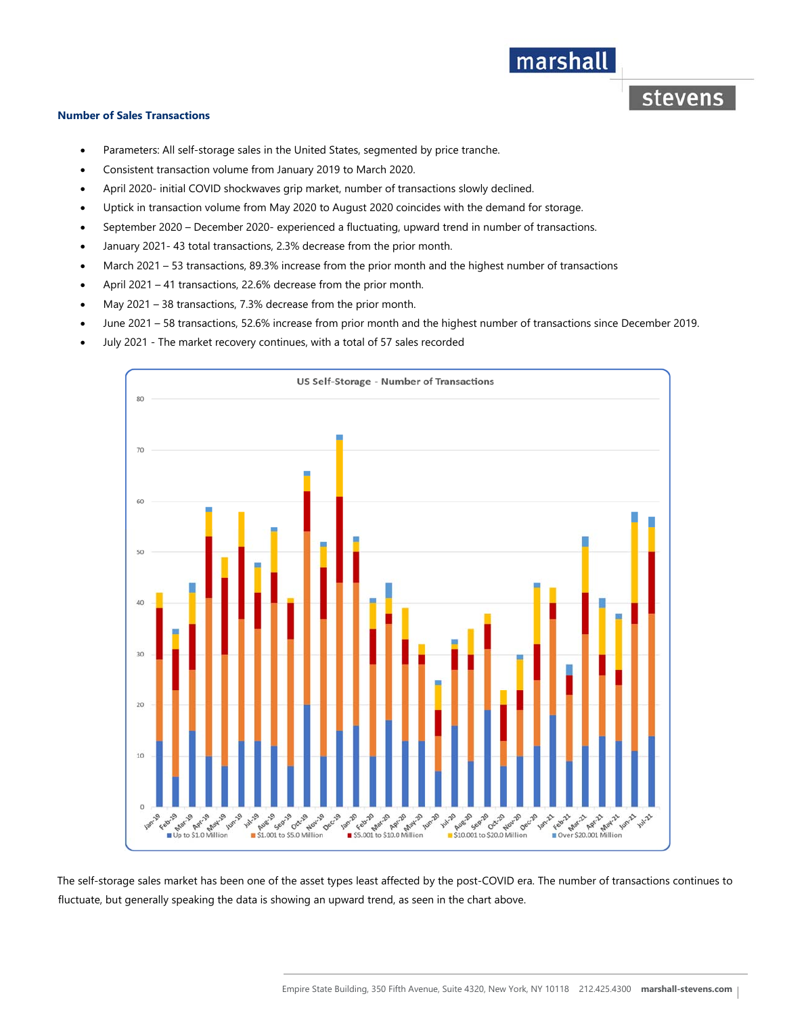## marshall

stevens

#### **Number of Sales Transactions**

- Parameters: All self-storage sales in the United States, segmented by price tranche.
- Consistent transaction volume from January 2019 to March 2020.
- April 2020- initial COVID shockwaves grip market, number of transactions slowly declined.
- Uptick in transaction volume from May 2020 to August 2020 coincides with the demand for storage.
- September 2020 December 2020- experienced a fluctuating, upward trend in number of transactions.
- January 2021- 43 total transactions, 2.3% decrease from the prior month.
- March 2021 53 transactions, 89.3% increase from the prior month and the highest number of transactions
- April 2021 41 transactions, 22.6% decrease from the prior month.
- May 2021 38 transactions, 7.3% decrease from the prior month.
- June 2021 58 transactions, 52.6% increase from prior month and the highest number of transactions since December 2019.
- July 2021 The market recovery continues, with a total of 57 sales recorded



The self-storage sales market has been one of the asset types least affected by the post-COVID era. The number of transactions continues to fluctuate, but generally speaking the data is showing an upward trend, as seen in the chart above.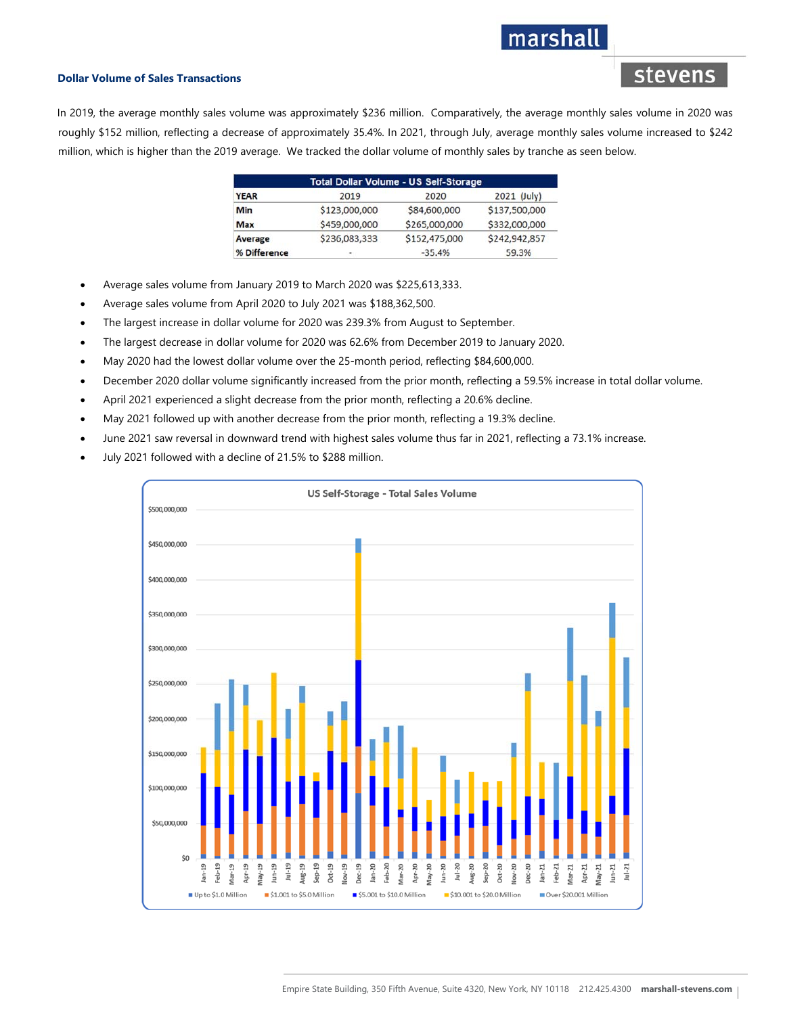## marshal

stevens

#### **Dollar Volume of Sales Transactions**

In 2019, the average monthly sales volume was approximately \$236 million. Comparatively, the average monthly sales volume in 2020 was roughly \$152 million, reflecting a decrease of approximately 35.4%. In 2021, through July, average monthly sales volume increased to \$242 million, which is higher than the 2019 average. We tracked the dollar volume of monthly sales by tranche as seen below.

| <b>Total Dollar Volume - US Self-Storage</b> |               |               |               |
|----------------------------------------------|---------------|---------------|---------------|
| <b>YEAR</b>                                  | 2019          | 2020          | 2021 (July)   |
| Min                                          | \$123,000,000 | \$84,600,000  | \$137,500,000 |
| <b>Max</b>                                   | \$459,000,000 | \$265,000,000 | \$332,000,000 |
| Average                                      | \$236,083,333 | \$152,475,000 | \$242,942,857 |
| % Difference                                 | ۰             | $-35.4%$      | 59.3%         |

- Average sales volume from January 2019 to March 2020 was \$225,613,333.
- Average sales volume from April 2020 to July 2021 was \$188,362,500.
- The largest increase in dollar volume for 2020 was 239.3% from August to September.
- The largest decrease in dollar volume for 2020 was 62.6% from December 2019 to January 2020.
- May 2020 had the lowest dollar volume over the 25-month period, reflecting \$84,600,000.
- December 2020 dollar volume significantly increased from the prior month, reflecting a 59.5% increase in total dollar volume.
- April 2021 experienced a slight decrease from the prior month, reflecting a 20.6% decline.
- May 2021 followed up with another decrease from the prior month, reflecting a 19.3% decline.
- June 2021 saw reversal in downward trend with highest sales volume thus far in 2021, reflecting a 73.1% increase.
- July 2021 followed with a decline of 21.5% to \$288 million.